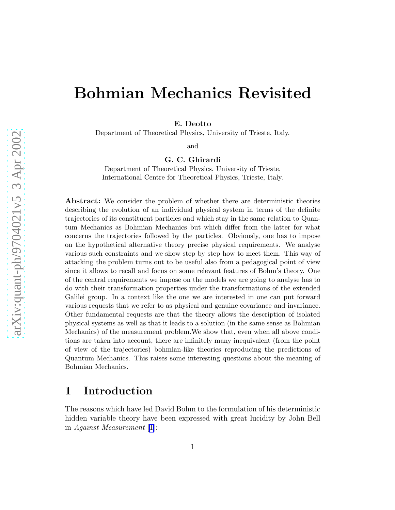# Bohmian Mechanics Revisited

E. Deotto

Department of Theoretical Physics, University of Trieste, Italy.

and

G. C. Ghirardi

Department of Theoretical Physics, University of Trieste, International Centre for Theoretical Physics, Trieste, Italy.

Abstract: We consider the problem of whether there are deterministic theories describing the evolution of an individual physical system in terms of the definite trajectories of its constituent particles and which stay in the same relation to Quantum Mechanics as Bohmian Mechanics but which differ from the latter for what concerns the trajectories followed by the particles. Obviously, one has to impose on the hypothetical alternative theory precise physical requirements. We analyse various such constraints and we show step by step how to meet them. This way of attacking the problem turns out to be useful also from a pedagogical point of view since it allows to recall and focus on some relevant features of Bohm's theory. One of the central requirements we impose on the models we are going to analyse has to do with their transformation properties under the transformations of the extended Galilei group. In a context like the one we are interested in one can put forward various requests that we refer to as physical and genuine covariance and invariance. Other fundamental requests are that the theory allows the description of isolated physical systems as well as that it leads to a solution (in the same sense as Bohmian Mechanics) of the measurement problem.We show that, even when all above conditions are taken into account, there are infinitely many inequivalent (from the point of view of the trajectories) bohmian-like theories reproducing the predictions of Quantum Mechanics. This raises some interesting questions about the meaning of Bohmian Mechanics.

#### 1 Introduction

The reasons which have led David Bohm to the formulation of his deterministic hidden variable theory have been expressed with great lucidity by John Bell in Against Measurement [[1\]](#page-32-0):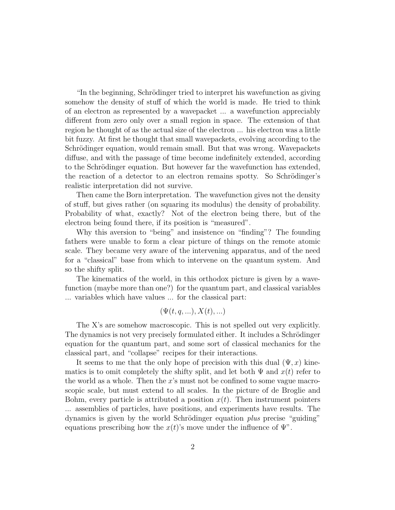"In the beginning, Schrödinger tried to interpret his wavefunction as giving somehow the density of stuff of which the world is made. He tried to think of an electron as represented by a wavepacket ... a wavefunction appreciably different from zero only over a small region in space. The extension of that region he thought of as the actual size of the electron ... his electron was a little bit fuzzy. At first he thought that small wavepackets, evolving according to the Schrödinger equation, would remain small. But that was wrong. Wavepackets diffuse, and with the passage of time become indefinitely extended, according to the Schrödinger equation. But however far the wavefunction has extended, the reaction of a detector to an electron remains spotty. So Schrödinger's realistic interpretation did not survive.

Then came the Born interpretation. The wavefunction gives not the density of stuff, but gives rather (on squaring its modulus) the density of probability. Probability of what, exactly? Not of the electron being there, but of the electron being found there, if its position is "measured".

Why this aversion to "being" and insistence on "finding"? The founding fathers were unable to form a clear picture of things on the remote atomic scale. They became very aware of the intervening apparatus, and of the need for a "classical" base from which to intervene on the quantum system. And so the shifty split.

The kinematics of the world, in this orthodox picture is given by a wavefunction (maybe more than one?) for the quantum part, and classical variables ... variables which have values ... for the classical part:

$$
(\Psi(t,q,...),X(t),...)
$$

The X's are somehow macroscopic. This is not spelled out very explicitly. The dynamics is not very precisely formulated either. It includes a Schrödinger equation for the quantum part, and some sort of classical mechanics for the classical part, and "collapse" recipes for their interactions.

It seems to me that the only hope of precision with this dual  $(\Psi, x)$  kinematics is to omit completely the shifty split, and let both  $\Psi$  and  $x(t)$  refer to the world as a whole. Then the  $x$ 's must not be confined to some vague macroscopic scale, but must extend to all scales. In the picture of de Broglie and Bohm, every particle is attributed a position  $x(t)$ . Then instrument pointers ... assemblies of particles, have positions, and experiments have results. The dynamics is given by the world Schrödinger equation  $plus$  precise "guiding" equations prescribing how the  $x(t)$ 's move under the influence of  $\Psi$ ".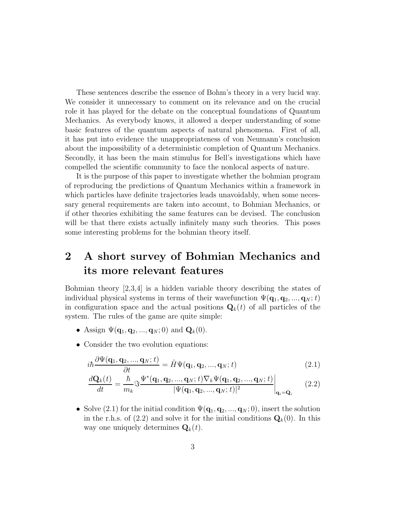These sentences describe the essence of Bohm's theory in a very lucid way. We consider it unnecessary to comment on its relevance and on the crucial role it has played for the debate on the conceptual foundations of Quantum Mechanics. As everybody knows, it allowed a deeper understanding of some basic features of the quantum aspects of natural phenomena. First of all, it has put into evidence the unappropriateness of von Neumann's conclusion about the impossibility of a deterministic completion of Quantum Mechanics. Secondly, it has been the main stimulus for Bell's investigations which have compelled the scientific community to face the nonlocal aspects of nature.

It is the purpose of this paper to investigate whether the bohmian program of reproducing the predictions of Quantum Mechanics within a framework in which particles have definite trajectories leads unavoidably, when some necessary general requirements are taken into account, to Bohmian Mechanics, or if other theories exhibiting the same features can be devised. The conclusion will be that there exists actually infinitely many such theories. This poses some interesting problems for the bohmian theory itself.

# 2 A short survey of Bohmian Mechanics and its more relevant features

Bohmian theory [2,3,4] is a hidden variable theory describing the states of individual physical systems in terms of their wavefunction  $\Psi(\mathbf{q}_1, \mathbf{q}_2, ..., \mathbf{q}_N; t)$ in configuration space and the actual positions  $\mathbf{Q}_k(t)$  of all particles of the system. The rules of the game are quite simple:

- Assign  $\Psi(\mathbf{q}_1, \mathbf{q}_2, ..., \mathbf{q}_N; 0)$  and  $\mathbf{Q}_k(0)$ .
- Consider the two evolution equations:

$$
i\hbar \frac{\partial \Psi(\mathbf{q}_1, \mathbf{q}_2, ..., \mathbf{q}_N; t)}{\partial t} = \hat{H} \Psi(\mathbf{q}_1, \mathbf{q}_2, ..., \mathbf{q}_N; t)
$$
\n(2.1)

$$
\frac{d\mathbf{Q}_k(t)}{dt} = \frac{\hbar}{m_k} \Im \frac{\Psi^*(\mathbf{q}_1, \mathbf{q}_2, ..., \mathbf{q}_N; t) \nabla_k \Psi(\mathbf{q}_1, \mathbf{q}_2, ..., \mathbf{q}_N; t)}{|\Psi(\mathbf{q}_1, \mathbf{q}_2, ..., \mathbf{q}_N; t)|^2} \bigg|_{\mathbf{q}_i = \mathbf{Q}_i}
$$
(2.2)

• Solve (2.1) for the initial condition  $\Psi(\mathbf{q}_1, \mathbf{q}_2, ..., \mathbf{q}_N; 0)$ , insert the solution in the r.h.s. of (2.2) and solve it for the initial conditions  $\mathbf{Q}_k(0)$ . In this way one uniquely determines  $\mathbf{Q}_k(t)$ .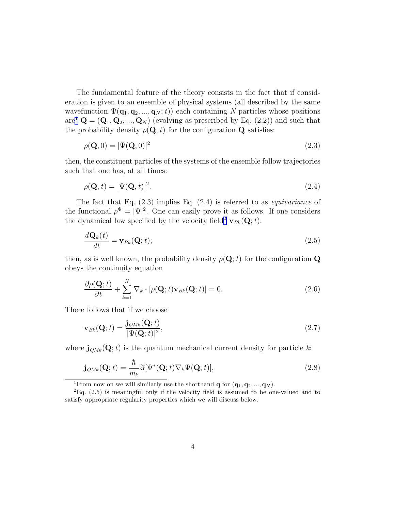The fundamental feature of the theory consists in the fact that if consideration is given to an ensemble of physical systems (all described by the same wavefunction  $\Psi(\mathbf{q}_1, \mathbf{q}_2, ..., \mathbf{q}_N; t)$  each containing N particles whose positions are<sup>1</sup>  $\mathbf{Q} = (\mathbf{Q}_1, \mathbf{Q}_2, ..., \mathbf{Q}_N)$  (evolving as prescribed by Eq. (2.2)) and such that the probability density  $\rho(\mathbf{Q}, t)$  for the configuration  $\mathbf{Q}$  satisfies:

$$
\rho(\mathbf{Q},0) = |\Psi(\mathbf{Q},0)|^2 \tag{2.3}
$$

then, the constituent particles of the systems of the ensemble follow trajectories such that one has, at all times:

$$
\rho(\mathbf{Q},t) = |\Psi(\mathbf{Q},t)|^2. \tag{2.4}
$$

The fact that Eq.  $(2.3)$  implies Eq.  $(2.4)$  is referred to as *equivariance* of the functional  $\rho^{\Psi} = |\Psi|^2$ . One can easily prove it as follows. If one considers the dynamical law specified by the velocity field<sup>2</sup>  $\mathbf{v}_{Bk}(\mathbf{Q}; t)$ :

$$
\frac{d\mathbf{Q}_k(t)}{dt} = \mathbf{v}_{Bk}(\mathbf{Q}; t); \tag{2.5}
$$

then, as is well known, the probability density  $\rho(\mathbf{Q}; t)$  for the configuration  $\mathbf{Q}$ obeys the continuity equation

$$
\frac{\partial \rho(\mathbf{Q};t)}{\partial t} + \sum_{k=1}^{N} \nabla_k \cdot [\rho(\mathbf{Q};t) \mathbf{v}_{Bk}(\mathbf{Q};t)] = 0.
$$
\n(2.6)

There follows that if we choose

$$
\mathbf{v}_{Bk}(\mathbf{Q};t) = \frac{\mathbf{j}_{QMk}(\mathbf{Q};t)}{|\Psi(\mathbf{Q};t)|^2},\tag{2.7}
$$

where  $\mathbf{j}_{QMK}(\mathbf{Q}; t)$  is the quantum mechanical current density for particle k:

$$
\mathbf{j}_{QMk}(\mathbf{Q};t) = \frac{\hbar}{m_k} \mathcal{S}[\Psi^*(\mathbf{Q};t)\nabla_k \Psi(\mathbf{Q};t)],\tag{2.8}
$$

<sup>&</sup>lt;sup>1</sup>From now on we will similarly use the shorthand **q** for  $(\mathbf{q}_1, \mathbf{q}_2, ..., \mathbf{q}_N)$ .

 ${}^{2}$ Eq. (2.5) is meaningful only if the velocity field is assumed to be one-valued and to satisfy appropriate regularity properties which we will discuss below.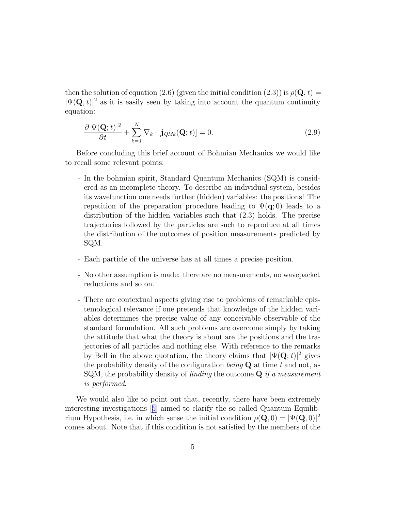then the solution of equation (2.6) (given the initial condition (2.3)) is  $\rho(\mathbf{Q}, t) =$  $|\Psi(\mathbf{Q}, t)|^2$  as it is easily seen by taking into account the quantum continuity equation:

$$
\frac{\partial |\Psi(\mathbf{Q};t)|^2}{\partial t} + \sum_{k=1}^{N} \nabla_k \cdot [\mathbf{j}_{QMk}(\mathbf{Q};t)] = 0.
$$
 (2.9)

Before concluding this brief account of Bohmian Mechanics we would like to recall some relevant points:

- In the bohmian spirit, Standard Quantum Mechanics (SQM) is considered as an incomplete theory. To describe an individual system, besides its wavefunction one needs further (hidden) variables: the positions! The repetition of the preparation procedure leading to  $\Psi(\mathbf{q};0)$  leads to a distribution of the hidden variables such that (2.3) holds. The precise trajectories followed by the particles are such to reproduce at all times the distribution of the outcomes of position measurements predicted by SQM.
- Each particle of the universe has at all times a precise position.
- No other assumption is made: there are no measurements, no wavepacket reductions and so on.
- There are contextual aspects giving rise to problems of remarkable epistemological relevance if one pretends that knowledge of the hidden variables determines the precise value of any conceivable observable of the standard formulation. All such problems are overcome simply by taking the attitude that what the theory is about are the positions and the trajectories of all particles and nothing else. With reference to the remarks by Bell in the above quotation, the theory claims that  $|\Psi(\mathbf{Q}; t)|^2$  gives the probability density of the configuration being  $Q$  at time t and not, as SQM, the probability density of finding the outcome  $Q$  if a measurement is performed.

We would also like to point out that, recently, there have been extremely interesting investigations[[5\]](#page-32-0) aimed to clarify the so called Quantum Equilibrium Hypothesis, i.e. in which sense the initial condition  $\rho(\mathbf{Q}, 0) = |\Psi(\mathbf{Q}, 0)|^2$ comes about. Note that if this condition is not satisfied by the members of the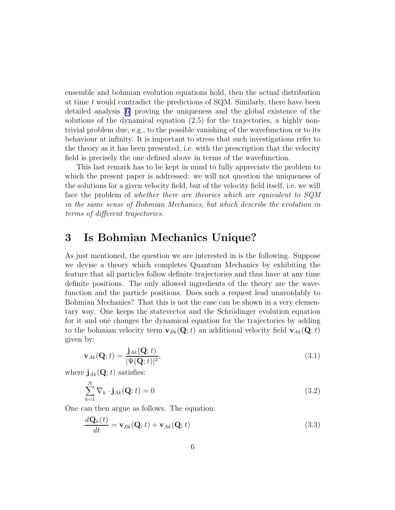<span id="page-5-0"></span>ensemble and bohmian evolution equations hold, then the actual distribution at time t would contradict the predictions of SQM. Similarly, there have been detailed analysis[[6\]](#page-32-0) proving the uniqueness and the global existence of the solutions of the dynamical equation (2.5) for the trajectories, a highly nontrivial problem due, e.g., to the possible vanishing of the wavefunction or to its behaviour at infinity. It is important to stress that such investigations refer to the theory as it has been presented, i.e. with the prescription that the velocity field is precisely the one defined above in terms of the wavefunction.

This last remark has to be kept in mind to fully appreciate the problem to which the present paper is addressed: we will not question the uniqueness of the solutions for a given velocity field, but of the velocity field itself, i.e. we will face the problem of whether there are theories which are equivalent to SQM in the same sense of Bohmian Mechanics, but which describe the evolution in terms of different trajectories.

#### 3 Is Bohmian Mechanics Unique?

As just mentioned, the question we are interested in is the following. Suppose we devise a theory which completes Quantum Mechanics by exhibiting the feature that all particles follow definite trajectories and thus have at any time definite positions. The only allowed ingredients of the theory are the wavefunction and the particle positions. Does such a request lead unavoidably to Bohmian Mechanics? That this is not the case can be shown in a very elementary way. One keeps the statevector and the Schrödinger evolution equation for it and one changes the dynamical equation for the trajectories by adding to the bohmian velocity term  $\mathbf{v}_{Bk}(\mathbf{Q}; t)$  an additional velocity field  $\mathbf{v}_{Ak}(\mathbf{Q}; t)$ given by:

$$
\mathbf{v}_{Ak}(\mathbf{Q};t) = \frac{\mathbf{j}_{Ak}(\mathbf{Q};t)}{|\Psi(\mathbf{Q};t)|^2},\tag{3.1}
$$

where  $\mathbf{j}_{Ak}(\mathbf{Q}; t)$  satisfies:

$$
\sum_{k=1}^{N} \nabla_k \cdot \mathbf{j}_{Ak}(\mathbf{Q}; t) = 0 \tag{3.2}
$$

One can then argue as follows. The equation:

$$
\frac{d\mathbf{Q}_k(t)}{dt} = \mathbf{v}_{Bk}(\mathbf{Q}; t) + \mathbf{v}_{Ak}(\mathbf{Q}; t)
$$
\n(3.3)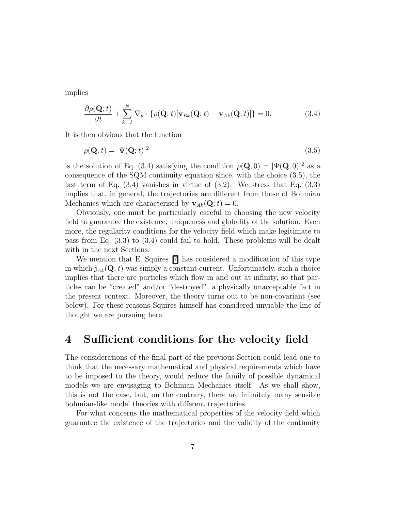implies

$$
\frac{\partial \rho(\mathbf{Q};t)}{\partial t} + \sum_{k=1}^{N} \nabla_k \cdot \{ \rho(\mathbf{Q};t) [\mathbf{v}_{Bk}(\mathbf{Q};t) + \mathbf{v}_{Ak}(\mathbf{Q};t)] \} = 0.
$$
 (3.4)

It is then obvious that the function

$$
\rho(\mathbf{Q},t) = |\Psi(\mathbf{Q};t)|^2 \tag{3.5}
$$

is the solution of Eq. (3.4) satisfying the condition  $\rho(\mathbf{Q},0) = |\Psi(\mathbf{Q},0)|^2$  as a consequence of the SQM continuity equation since, with the choice (3.5), the last term of Eq.  $(3.4)$  vanishes in virtue of  $(3.2)$ . We stress that Eq.  $(3.3)$ implies that, in general, the trajectories are different from those of Bohmian Mechanics which are characterised by  $\mathbf{v}_{Ak}(\mathbf{Q}; t) = 0$ .

Obviously, one must be particularly careful in choosing the new velocity field to guarantee the existence, uniqueness and globality of the solution. Even more, the regularity conditions for the velocity field which make legitimate to pass from Eq. (3.3) to (3.4) could fail to hold. These problems will be dealt with in the next Sections.

We mention that E. Squires[[7\]](#page-32-0) has considered a modification of this type in which  $\mathbf{j}_{Ak}(\mathbf{Q}; t)$  was simply a constant current. Unfortunately, such a choice implies that there are particles which flow in and out at infinity, so that particles can be "created" and/or "destroyed", a physically unacceptable fact in the present context. Moreover, the theory turns out to be non-covariant (see below). For these reasons Squires himself has considered unviable the line of thought we are pursuing here.

#### 4 Sufficient conditions for the velocity field

The considerations of the final part of the previous Section could lead one to think that the necessary mathematical and physical requirements which have to be imposed to the theory, would reduce the family of possible dynamical models we are envisaging to Bohmian Mechanics itself. As we shall show, this is not the case, but, on the contrary, there are infinitely many sensible bohmian-like model theories with different trajectories.

For what concerns the mathematical properties of the velocity field which guarantee the existence of the trajectories and the validity of the continuity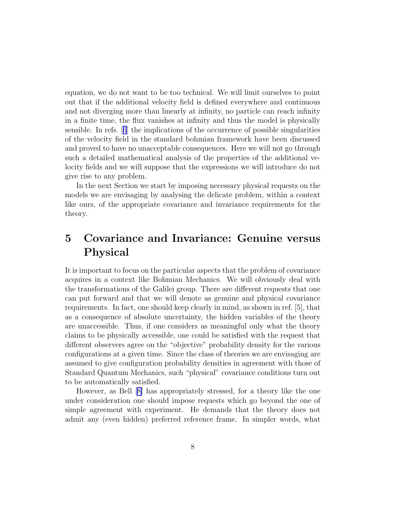equation, we do not want to be too technical. We will limit ourselves to point out that if the additional velocity field is defined everywhere and continuous and not diverging more than linearly at infinity, no particle can reach infinity in a finite time, the flux vanishes at infinity and thus the model is physically sensible. In refs.[[6](#page-32-0)] the implications of the occurrence of possible singularities of the velocity field in the standard bohmian framework have been discussed and proved to have no unacceptable consequences. Here we will not go through such a detailed mathematical analysis of the properties of the additional velocity fields and we will suppose that the expressions we will introduce do not give rise to any problem.

In the next Section we start by imposing necessary physical requests on the models we are envisaging by analysing the delicate problem, within a context like ours, of the appropriate covariance and invariance requirements for the theory.

## 5 Covariance and Invariance: Genuine versus Physical

It is important to focus on the particular aspects that the problem of covariance acquires in a context like Bohmian Mechanics. We will obviously deal with the transformations of the Galilei group. There are different requests that one can put forward and that we will denote as genuine and physical covariance requirements. In fact, one should keep clearly in mind, as shown in ref. [5], that as a consequence of absolute uncertainty, the hidden variables of the theory are unaccessible. Thus, if one considers as meaningful only what the theory claims to be physically accessible, one could be satisfied with the request that different observers agree on the "objective" probability density for the various configurations at a given time. Since the class of theories we are envisaging are assumed to give configuration probability densities in agreement with those of Standard Quantum Mechanics, such "physical" covariance conditions turn out to be automatically satisfied.

However, as Bell[[8\]](#page-33-0) has appropriately stressed, for a theory like the one under consideration one should impose requests which go beyond the one of simple agreement with experiment. He demands that the theory does not admit any (even hidden) preferred reference frame. In simpler words, what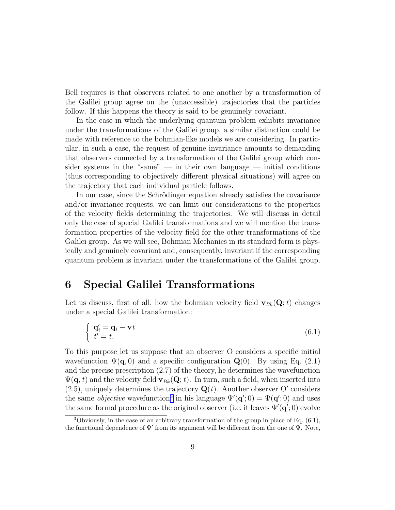Bell requires is that observers related to one another by a transformation of the Galilei group agree on the (unaccessible) trajectories that the particles follow. If this happens the theory is said to be genuinely covariant.

In the case in which the underlying quantum problem exhibits invariance under the transformations of the Galilei group, a similar distinction could be made with reference to the bohmian-like models we are considering. In particular, in such a case, the request of genuine invariance amounts to demanding that observers connected by a transformation of the Galilei group which consider systems in the "same"  $\frac{1}{2}$  in their own language  $\frac{1}{2}$  initial conditions (thus corresponding to objectively different physical situations) will agree on the trajectory that each individual particle follows.

In our case, since the Schrödinger equation already satisfies the covariance and/or invariance requests, we can limit our considerations to the properties of the velocity fields determining the trajectories. We will discuss in detail only the case of special Galilei transformations and we will mention the transformation properties of the velocity field for the other transformations of the Galilei group. As we will see, Bohmian Mechanics in its standard form is physically and genuinely covariant and, consequently, invariant if the corresponding quantum problem is invariant under the transformations of the Galilei group.

#### 6 Special Galilei Transformations

Let us discuss, first of all, how the bohmian velocity field  $\mathbf{v}_{Bk}(\mathbf{Q}; t)$  changes under a special Galilei transformation:

$$
\begin{cases} \mathbf{q}'_i = \mathbf{q}_i - \mathbf{v}t \\ t' = t. \end{cases} \tag{6.1}
$$

To this purpose let us suppose that an observer O considers a specific initial wavefunction  $\Psi(\mathbf{q},0)$  and a specific configuration  $\mathbf{Q}(0)$ . By using Eq. (2.1) and the precise prescription (2.7) of the theory, he determines the wavefunction  $\Psi(\mathbf{q}, t)$  and the velocity field  $\mathbf{v}_{Bk}(\mathbf{Q}; t)$ . In turn, such a field, when inserted into  $(2.5)$ , uniquely determines the trajectory  $\mathbf{Q}(t)$ . Another observer O' considers the same *objective* wavefunction<sup>3</sup> in his language  $\Psi'(\mathbf{q}';0) = \Psi(\mathbf{q}';0)$  and uses the same formal procedure as the original observer (i.e. it leaves  $\Psi'(\mathbf{q}';0)$  evolve

<sup>&</sup>lt;sup>3</sup>Obviously, in the case of an arbitrary transformation of the group in place of Eq.  $(6.1)$ , the functional dependence of  $\Psi'$  from its argument will be different from the one of  $\Psi$ . Note,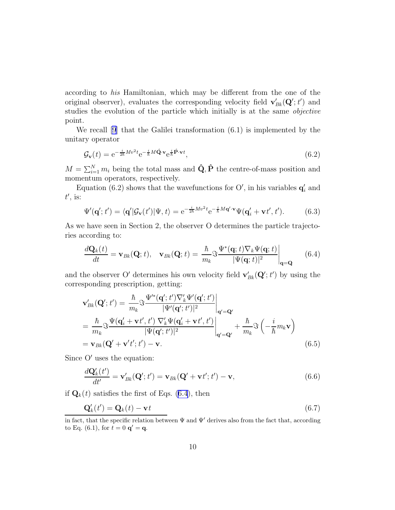according to his Hamiltonian, which may be different from the one of the original observer), evaluates the corresponding velocity field  $\mathbf{v}'_{Bk}(\mathbf{Q}'; t')$  and studies the evolution of the particle which initially is at the same objective point.

We recall [\[9](#page-33-0)] that the Galilei transformation (6.1) is implemented by the unitary operator

$$
\mathcal{G}_{\mathbf{v}}(t) = e^{-\frac{i}{2\hbar}Mv^2t}e^{-\frac{i}{\hbar}M\hat{\mathbf{Q}}\cdot\mathbf{v}}e^{\frac{i}{\hbar}\hat{\mathbf{P}}\cdot\mathbf{v}t},\tag{6.2}
$$

 $M = \sum_{i=1}^{N} m_i$  being the total mass and  $\hat{Q}, \hat{P}$  the centre-of-mass position and momentum operators, respectively.

Equation (6.2) shows that the wavefunctions for O', in his variables  $\mathbf{q}'_i$  and  $t'$ , is:

$$
\Psi'(\mathbf{q}';t') = \langle \mathbf{q}'|\mathcal{G}_{\mathbf{v}}(t')|\Psi,t\rangle = e^{-\frac{i}{2\hbar}Mv^2t}e^{-\frac{i}{\hbar}M\mathbf{q}'\cdot\mathbf{v}}\Psi(\mathbf{q}'_i+\mathbf{v}t',t').\tag{6.3}
$$

As we have seen in Section 2, the observer O determines the particle trajectories according to:

$$
\frac{d\mathbf{Q}_k(t)}{dt} = \mathbf{v}_{Bk}(\mathbf{Q}; t), \quad \mathbf{v}_{Bk}(\mathbf{Q}; t) = \frac{\hbar}{m_k} \Im \frac{\Psi^*(\mathbf{q}; t) \nabla_k \Psi(\mathbf{q}; t)}{|\Psi(\mathbf{q}; t)|^2} \bigg|_{\mathbf{q} = \mathbf{Q}} \tag{6.4}
$$

and the observer O' determines his own velocity field  $\mathbf{v}'_{Bk}(\mathbf{Q}'; t')$  by using the corresponding prescription, getting:

$$
\mathbf{v}'_{Bk}(\mathbf{Q}';t') = \frac{\hbar}{m_k} \mathcal{S} \frac{\Psi'^*(\mathbf{q}';t') \nabla'_k \Psi'(\mathbf{q}';t')}{|\Psi'(\mathbf{q}';t')|^2} \Big|_{\mathbf{q}'=\mathbf{Q}'}
$$
  
\n
$$
= \frac{\hbar}{m_k} \mathcal{S} \frac{\Psi(\mathbf{q}'_i + \mathbf{v}'_i, t') \nabla'_k \Psi(\mathbf{q}'_i + \mathbf{v}'_i, t')}{|\Psi(\mathbf{q}';t')|^2} \Big|_{\mathbf{q}'=\mathbf{Q}'} + \frac{\hbar}{m_k} \mathcal{S} \left( -\frac{i}{\hbar} m_k \mathbf{v} \right)
$$
  
\n
$$
= \mathbf{v}_{Bk}(\mathbf{Q}' + \mathbf{v}'t';t') - \mathbf{v}.
$$
 (6.5)

Since O' uses the equation:

$$
\frac{d\mathbf{Q}'_k(t')}{dt'} = \mathbf{v}'_{Bk}(\mathbf{Q}';t') = \mathbf{v}_{Bk}(\mathbf{Q}' + \mathbf{v}t';t') - \mathbf{v},\tag{6.6}
$$

if  $\mathbf{Q}_k(t)$  satisfies the first of Eqs. (6.4), then

$$
\mathbf{Q}'_k(t') = \mathbf{Q}_k(t) - \mathbf{v}t\tag{6.7}
$$

in fact, that the specific relation between  $\Psi$  and  $\Psi'$  derives also from the fact that, according to Eq. (6.1), for  $t = 0$   $\mathbf{q}' = \mathbf{q}$ .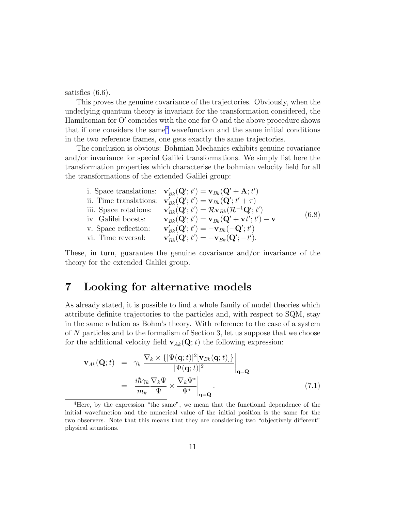<span id="page-10-0"></span>satisfies (6.6).

This proves the genuine covariance of the trajectories. Obviously, when the underlying quantum theory is invariant for the transformation considered, the Hamiltonian for O′ coincides with the one for O and the above procedure shows that if one considers the same $<sup>4</sup>$  wavefunction and the same initial conditions</sup> in the two reference frames, one gets exactly the same trajectories.

The conclusion is obvious: Bohmian Mechanics exhibits genuine covariance and/or invariance for special Galilei transformations. We simply list here the transformation properties which characterise the bohmian velocity field for all the transformations of the extended Galilei group:

|                       | i. Space translations: $\mathbf{v}_{Bk}'(\mathbf{Q}';t') = \mathbf{v}_{Bk}(\mathbf{Q}' + \mathbf{A};t')$     |       |
|-----------------------|--------------------------------------------------------------------------------------------------------------|-------|
|                       | ii. Time translations: $\mathbf{v}_{Bk}'(\mathbf{Q}'; t') = \mathbf{v}_{Bk}(\mathbf{Q}'; t' + \tau)$         |       |
| iii. Space rotations: | $\mathbf{v}_{Bk}'(\mathbf{Q}';t') = \mathcal{R}\mathbf{v}_{Bk}(\mathcal{R}^{-1}\mathbf{Q}';t')$              | (6.8) |
| iv. Galilei boosts:   | $\mathbf{v}_{Bk}(\mathbf{Q}';t') = \mathbf{v}_{Bk}(\mathbf{Q}'+\mathbf{v}t';t') - \mathbf{v}$                |       |
| v. Space reflection:  | $\mathbf{v}_{Bk}^{\prime}(\mathbf{Q}^{\prime};t^{\prime})=-\mathbf{v}_{Bk}(-\mathbf{Q}^{\prime};t^{\prime})$ |       |
| vi. Time reversal:    | ${\bf v}'_{Bk}({\bf Q}';t') = -{\bf v}_{Bk}({\bf Q}';-t').$                                                  |       |

These, in turn, guarantee the genuine covariance and/or invariance of the theory for the extended Galilei group.

#### 7 Looking for alternative models

As already stated, it is possible to find a whole family of model theories which attribute definite trajectories to the particles and, with respect to SQM, stay in the same relation as Bohm's theory. With reference to the case of a system of N particles and to the formalism of Section 3, let us suppose that we choose for the additional velocity field  $\mathbf{v}_{Ak}(\mathbf{Q}; t)$  the following expression:

$$
\mathbf{v}_{Ak}(\mathbf{Q};t) = \gamma_k \frac{\nabla_k \times \{|\Psi(\mathbf{q};t)|^2[\mathbf{v}_{Bk}(\mathbf{q};t)]\}}{|\Psi(\mathbf{q};t)|^2} \Big|_{\mathbf{q}=\mathbf{Q}}
$$
  

$$
= \frac{i\hbar\gamma_k \nabla_k \Psi}{m_k \Psi} \times \frac{\nabla_k \Psi^*}{\Psi^*} \Big|_{\mathbf{q}=\mathbf{Q}}.
$$
(7.1)

<sup>4</sup>Here, by the expression "the same", we mean that the functional dependence of the initial wavefunction and the numerical value of the initial position is the same for the two observers. Note that this means that they are considering two "objectively different" physical situations.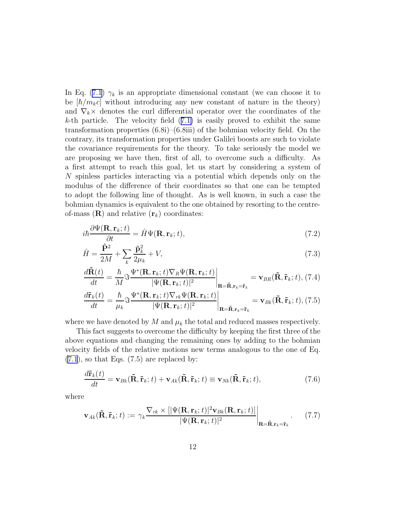<span id="page-11-0"></span>In Eq. [\(7.1](#page-10-0))  $\gamma_k$  is an appropriate dimensional constant (we can choose it to be  $[\hbar/m_k c]$  without introducing any new constant of nature in the theory) and  $\nabla_k \times$  denotes the curl differential operator over the coordinates of the  $k$ -thparticle. The velocity field  $(7.1)$  $(7.1)$  is easily proved to exhibit the same transformation properties  $(6.8i)-(6.8ii)$  of the bohmian velocity field. On the contrary, its transformation properties under Galilei boosts are such to violate the covariance requirements for the theory. To take seriously the model we are proposing we have then, first of all, to overcome such a difficulty. As a first attempt to reach this goal, let us start by considering a system of N spinless particles interacting via a potential which depends only on the modulus of the difference of their coordinates so that one can be tempted to adopt the following line of thought. As is well known, in such a case the bohmian dynamics is equivalent to the one obtained by resorting to the centreof-mass  $(\mathbf{R})$  and relative  $(\mathbf{r}_k)$  coordinates:

$$
i\hbar \frac{\partial \Psi(\mathbf{R}, \mathbf{r}_k; t)}{\partial t} = \hat{H} \Psi(\mathbf{R}, \mathbf{r}_k; t), \tag{7.2}
$$

$$
\hat{H} = \frac{\hat{\mathbf{P}}^2}{2M} + \sum_{k} \frac{\hat{\mathbf{p}}_k^2}{2\mu_k} + V,\tag{7.3}
$$

$$
\frac{d\tilde{\mathbf{R}}(t)}{dt} = \frac{\hbar}{M} \Im \frac{\Psi^*(\mathbf{R}, \mathbf{r}_k; t) \nabla_R \Psi(\mathbf{R}, \mathbf{r}_k; t)}{|\Psi(\mathbf{R}, \mathbf{r}_k; t)|^2} \bigg|_{\mathbf{R} = \tilde{\mathbf{R}}, \mathbf{r}_k = \tilde{\mathbf{r}}_k} = \mathbf{v}_{BR}(\tilde{\mathbf{R}}, \tilde{\mathbf{r}}_k; t), (7.4)
$$

$$
\frac{d\tilde{\mathbf{r}}_k(t)}{dt} = \frac{\hbar}{\mu_k} \Im \frac{\Psi^*(\mathbf{R}, \mathbf{r}_k; t) \nabla_{rk} \Psi(\mathbf{R}, \mathbf{r}_k; t)}{|\Psi(\mathbf{R}, \mathbf{r}_k; t)|^2} \Big|_{\mathbf{R} = \tilde{\mathbf{R}}, \mathbf{r}_k = \tilde{\mathbf{r}}_k} = \mathbf{v}_{Bk}(\tilde{\mathbf{R}}, \tilde{\mathbf{r}}_k; t), (7.5)
$$

where we have denoted by M and  $\mu_k$  the total and reduced masses respectively.

This fact suggests to overcome the difficulty by keeping the first three of the above equations and changing the remaining ones by adding to the bohmian velocity fields of the relative motions new terms analogous to the one of Eq.  $(7.1)$  $(7.1)$ , so that Eqs.  $(7.5)$  are replaced by:

$$
\frac{d\tilde{\mathbf{r}}_k(t)}{dt} = \mathbf{v}_{Bk}(\tilde{\mathbf{R}}, \tilde{\mathbf{r}}_k; t) + \mathbf{v}_{Ak}(\tilde{\mathbf{R}}, \tilde{\mathbf{r}}_k; t) \equiv \mathbf{v}_{Nk}(\tilde{\mathbf{R}}, \tilde{\mathbf{r}}_k; t),
$$
\n(7.6)

where

$$
\mathbf{v}_{Ak}(\tilde{\mathbf{R}}, \tilde{\mathbf{r}}_k; t) := \gamma_k \frac{\nabla_{rk} \times [|\Psi(\mathbf{R}, \mathbf{r}_k; t)|^2 \mathbf{v}_{Bk}(\mathbf{R}, \mathbf{r}_k; t)]}{|\Psi(\mathbf{R}, \mathbf{r}_k; t)|^2} \Big|_{\mathbf{R} = \tilde{\mathbf{R}}, \mathbf{r}_k = \tilde{\mathbf{r}}_k}.
$$
 (7.7)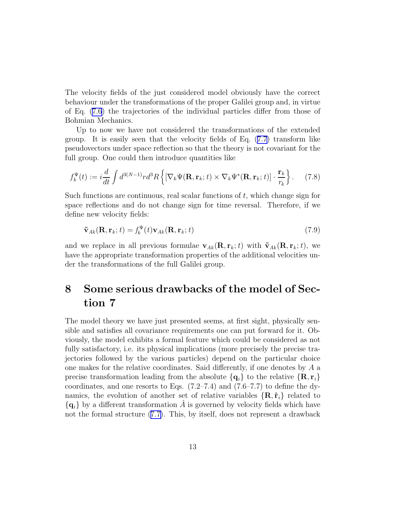The velocity fields of the just considered model obviously have the correct behaviour under the transformations of the proper Galilei group and, in virtue of Eq. [\(7.6](#page-11-0)) the trajectories of the individual particles differ from those of Bohmian Mechanics.

Up to now we have not considered the transformations of the extended group. It is easily seen that the velocity fields of Eq.([7.7\)](#page-11-0) transform like pseudovectors under space reflection so that the theory is not covariant for the full group. One could then introduce quantities like

$$
f_k^{\Psi}(t) := i \frac{d}{dt} \int d^{3(N-1)} r d^3 R \left\{ \left[ \nabla_k \Psi(\mathbf{R}, \mathbf{r}_k; t) \times \nabla_k \Psi^*(\mathbf{R}, \mathbf{r}_k; t) \right] \cdot \frac{\mathbf{r}_k}{r_k} \right\}.
$$
 (7.8)

Such functions are continuous, real scalar functions of  $t$ , which change sign for space reflections and do not change sign for time reversal. Therefore, if we define new velocity fields:

$$
\tilde{\mathbf{v}}_{Ak}(\mathbf{R}, \mathbf{r}_k; t) = f_k^{\Psi}(t) \mathbf{v}_{Ak}(\mathbf{R}, \mathbf{r}_k; t)
$$
\n(7.9)

and we replace in all previous formulae  $\mathbf{v}_{Ak}(\mathbf{R}, \mathbf{r}_k; t)$  with  $\tilde{\mathbf{v}}_{Ak}(\mathbf{R}, \mathbf{r}_k; t)$ , we have the appropriate transformation properties of the additional velocities under the transformations of the full Galilei group.

### 8 Some serious drawbacks of the model of Section 7

The model theory we have just presented seems, at first sight, physically sensible and satisfies all covariance requirements one can put forward for it. Obviously, the model exhibits a formal feature which could be considered as not fully satisfactory, i.e. its physical implications (more precisely the precise trajectories followed by the various particles) depend on the particular choice one makes for the relative coordinates. Said differently, if one denotes by A a precise transformation leading from the absolute  $\{q_i\}$  to the relative  $\{R, r_i\}$ coordinates, and one resorts to Eqs. (7.2–7.4) and (7.6–7.7) to define the dynamics, the evolution of another set of relative variables  $\{R, \hat{r}_i\}$  related to  ${q_i}$  by a different transformation A is governed by velocity fields which have not the formal structure([7.7\)](#page-11-0). This, by itself, does not represent a drawback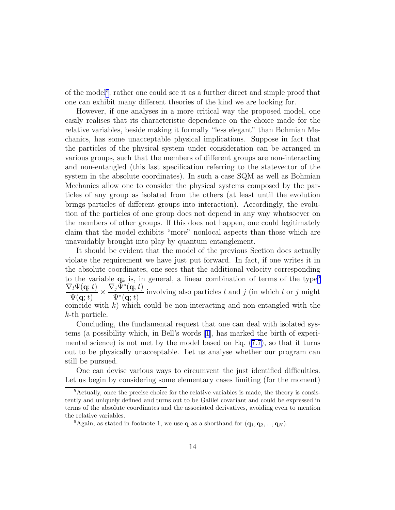of the model<sup>5</sup>; rather one could see it as a further direct and simple proof that one can exhibit many different theories of the kind we are looking for.

However, if one analyses in a more critical way the proposed model, one easily realises that its characteristic dependence on the choice made for the relative variables, beside making it formally "less elegant" than Bohmian Mechanics, has some unacceptable physical implications. Suppose in fact that the particles of the physical system under consideration can be arranged in various groups, such that the members of different groups are non-interacting and non-entangled (this last specification referring to the statevector of the system in the absolute coordinates). In such a case SQM as well as Bohmian Mechanics allow one to consider the physical systems composed by the particles of any group as isolated from the others (at least until the evolution brings particles of different groups into interaction). Accordingly, the evolution of the particles of one group does not depend in any way whatsoever on the members of other groups. If this does not happen, one could legitimately claim that the model exhibits "more" nonlocal aspects than those which are unavoidably brought into play by quantum entanglement.

It should be evident that the model of the previous Section does actually violate the requirement we have just put forward. In fact, if one writes it in the absolute coordinates, one sees that the additional velocity corresponding to the variable  $\mathbf{q}_k$  is, in general, a linear combination of terms of the type<sup>6</sup>  $\nabla_l \Psi({\bf q}; t)$  $\Psi(\mathbf{q}; t)$  $\times \frac{\nabla_j \bar{\Psi}^*(\mathbf{q};t)}{\mathbf{W}^*(\mathbf{q};t)}$  $\Psi^*(\mathbf{q}; t)$ involving also particles  $l$  and  $j$  (in which  $l$  or  $j$  might coincide with  $k$ ) which could be non-interacting and non-entangled with the k-th particle.

Concluding, the fundamental request that one can deal with isolated systems (a possibility which, in Bell's words [\[1\]](#page-32-0), has marked the birth of experimentalscience) is not met by the model based on Eq.  $(7.7)$  $(7.7)$ , so that it turns out to be physically unacceptable. Let us analyse whether our program can still be pursued.

One can devise various ways to circumvent the just identified difficulties. Let us begin by considering some elementary cases limiting (for the moment)

<sup>&</sup>lt;sup>5</sup>Actually, once the precise choice for the relative variables is made, the theory is consistently and uniquely defined and turns out to be Galilei covariant and could be expressed in terms of the absolute coordinates and the associated derivatives, avoiding even to mention the relative variables.

<sup>&</sup>lt;sup>6</sup>Again, as stated in footnote 1, we use **q** as a shorthand for  $(\mathbf{q}_1, \mathbf{q}_2, ..., \mathbf{q}_N)$ .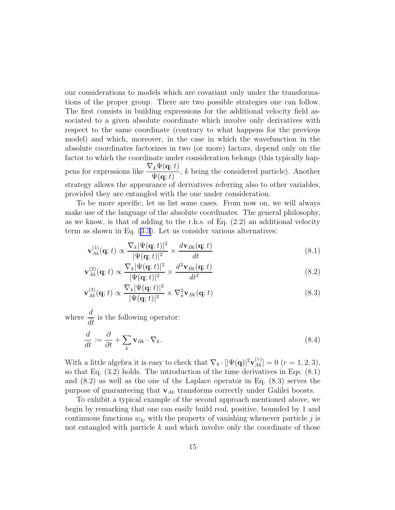our considerations to models which are covariant only under the transformations of the proper group. There are two possible strategies one can follow. The first consists in building expressions for the additional velocity field associated to a given absolute coordinate which involve only derivatives with respect to the same coordinate (contrary to what happens for the previous model) and which, moreover, in the case in which the wavefunction in the absolute coordinates factorizes in two (or more) factors, depend only on the factor to which the coordinate under consideration belongs (this typically happens for expressions like  $\frac{\nabla_k \Psi(\mathbf{q}; t)}{\Psi(\mathbf{q}; t)}$  $\Psi(\mathbf{q}; t)$ , k being the considered particle). Another strategy allows the appearance of derivatives referring also to other variables, provided they are entangled with the one under consideration.

To be more specific, let us list some cases. From now on, we will always make use of the language of the absolute coordinates. The general philosophy, as we know, is that of adding to the r.h.s. of Eq. (2.2) an additional velocity term as shown in Eq. [\(3.3](#page-5-0)). Let us consider various alternatives:

$$
\mathbf{v}_{Ak}^{(1)}(\mathbf{q};t) \propto \frac{\nabla_k |\Psi(\mathbf{q};t)|^2}{|\Psi(\mathbf{q};t)|^2} \times \frac{d\mathbf{v}_{Bk}(\mathbf{q};t)}{dt}
$$
(8.1)

$$
\mathbf{v}_{Ak}^{(2)}(\mathbf{q};t) \propto \frac{\nabla_k |\Psi(\mathbf{q};t)|^2}{|\Psi(\mathbf{q};t)|^2} \times \frac{d^2 \mathbf{v}_{Bk}(\mathbf{q};t)}{dt^2}
$$
(8.2)

$$
\mathbf{v}_{Ak}^{(3)}(\mathbf{q};t) \propto \frac{\nabla_k |\Psi(\mathbf{q};t)|^2}{|\Psi(\mathbf{q};t)|^2} \times \nabla_k^2 \mathbf{v}_{Bk}(\mathbf{q};t)
$$
\n(8.3)

where  $\frac{d}{dt}$  $\frac{d}{dt}$  is the following operator:

$$
\frac{d}{dt} := \frac{\partial}{\partial t} + \sum_{k} \mathbf{v}_{Bk} \cdot \nabla_k.
$$
\n(8.4)

With a little algebra it is easy to check that  $\nabla_k \cdot [|\Psi(\mathbf{q})|^2 \mathbf{v}_{Ak}^{(r)}] = 0$   $(r = 1, 2, 3)$ , so that Eq. (3.2) holds. The introduction of the time derivatives in Eqs. (8.1) and (8.2) as well as the one of the Laplace operator in Eq. (8.3) serves the purpose of guaranteeing that  $\mathbf{v}_{Ak}$  transforms correctly under Galilei boosts.

To exhibit a typical example of the second approach mentioned above, we begin by remarking that one can easily build real, positive, bounded by 1 and continuous functions  $w_{kj}$  with the property of vanishing whenever particle j is not entangled with particle k and which involve only the coordinate of those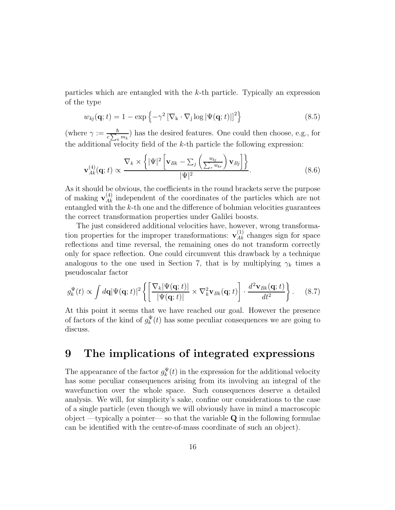<span id="page-15-0"></span>particles which are entangled with the k-th particle. Typically an expression of the type

$$
w_{kj}(\mathbf{q};t) = 1 - \exp\left\{-\gamma^2 \left[\nabla_k \cdot \nabla_j \log |\Psi(\mathbf{q};t)|\right]^2\right\}
$$
(8.5)

(where  $\gamma := \frac{\hbar}{c \sum_{k} m_{k}}$ ) has the desired features. One could then choose, e.g., for the additional velocity field of the  $k$ -th particle the following expression:

$$
\mathbf{v}_{Ak}^{(4)}(\mathbf{q};t) \propto \frac{\nabla_k \times \left\{ |\Psi|^2 \left[ \mathbf{v}_{Bk} - \sum_j \left( \frac{w_{kj}}{\sum_r w_{kr}} \right) \mathbf{v}_{Bj} \right] \right\}}{|\Psi|^2}.
$$
 (8.6)

As it should be obvious, the coefficients in the round brackets serve the purpose of making  $\mathbf{v}_{Ak}^{(4)}$  independent of the coordinates of the particles which are not entangled with the  $k$ -th one and the difference of bohmian velocities guarantees the correct transformation properties under Galilei boosts.

The just considered additional velocities have, however, wrong transformation properties for the improper transformations:  $\mathbf{v}_{Ak}^{(1)}$  changes sign for space reflections and time reversal, the remaining ones do not transform correctly only for space reflection. One could circumvent this drawback by a technique analogous to the one used in Section 7, that is by multiplying  $\gamma_k$  times a pseudoscalar factor

$$
g_k^{\Psi}(t) \propto \int d\mathbf{q} |\Psi(\mathbf{q};t)|^2 \left\{ \left[ \frac{\nabla_k |\Psi(\mathbf{q};t)|}{|\Psi(\mathbf{q};t)|} \times \nabla_k^2 \mathbf{v}_{Bk}(\mathbf{q};t) \right] \cdot \frac{d^2 \mathbf{v}_{Bk}(\mathbf{q};t)}{dt^2} \right\}.
$$
 (8.7)

At this point it seems that we have reached our goal. However the presence of factors of the kind of  $g_k^{\Psi}(t)$  has some peculiar consequences we are going to discuss.

#### 9 The implications of integrated expressions

The appearance of the factor  $g_k^{\Psi}(t)$  in the expression for the additional velocity has some peculiar consequences arising from its involving an integral of the wavefunction over the whole space. Such consequences deserve a detailed analysis. We will, for simplicity's sake, confine our considerations to the case of a single particle (even though we will obviously have in mind a macroscopic object —typically a pointer— so that the variable  $Q$  in the following formulae can be identified with the centre-of-mass coordinate of such an object).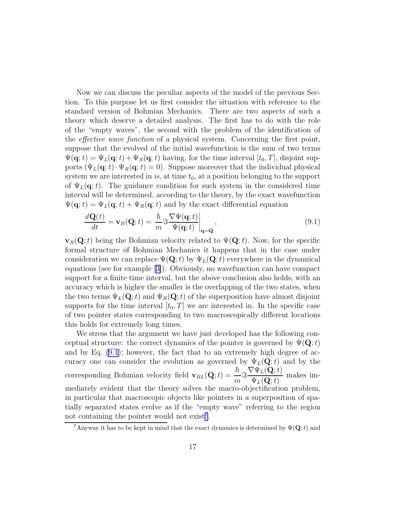<span id="page-16-0"></span>Now we can discuss the peculiar aspects of the model of the previous Section. To this purpose let us first consider the situation with reference to the standard version of Bohmian Mechanics. There are two aspects of such a theory which deserve a detailed analysis. The first has to do with the role of the "empty waves", the second with the problem of the identification of the effective wave function of a physical system. Concerning the first point, suppose that the evolved of the initial wavefunction is the sum of two terms  $\Psi(\mathbf{q}; t) = \Psi_L(\mathbf{q}; t) + \Psi_R(\mathbf{q}; t)$  having, for the time interval  $[t_0, T]$ , disjoint supports  $(\Psi_L(\mathbf{q}; t) \cdot \Psi_R(\mathbf{q}; t) = 0)$ . Suppose moreover that the individual physical system we are interested in is, at time  $t_0$ , at a position belonging to the support of  $\Psi_L(q; t)$ . The guidance condition for such system in the considered time interval will be determined, according to the theory, by the exact wavefunction  $\Psi(\mathbf{q}; t) = \Psi_L(\mathbf{q}; t) + \Psi_R(\mathbf{q}; t)$  and by the exact differential equation

$$
\frac{d\mathbf{Q}(t)}{dt} = \mathbf{v}_B(\mathbf{Q}; t) = \frac{\hbar}{m} \Im \frac{\nabla \Psi(\mathbf{q}; t)}{\Psi(\mathbf{q}; t)} \bigg|_{\mathbf{q} = \mathbf{Q}},
$$
\n(9.1)

 $\mathbf{v}_B(\mathbf{Q};t)$  being the Bohmian velocity related to  $\Psi(\mathbf{Q};t)$ . Now, for the specific formal structure of Bohmian Mechanics it happens that in the case under consideration we can replace  $\Psi(\mathbf{Q};t)$  by  $\Psi_L(\mathbf{Q};t)$  everywhere in the dynamical equations (see for example[[3\]](#page-32-0)). Obviously, no wavefunction can have compact support for a finite time interval, but the above conclusion also holds, with an accuracy which is higher the smaller is the overlapping of the two states, when the two terms  $\Psi_L(\mathbf{Q};t)$  and  $\Psi_R(\mathbf{Q};t)$  of the superposition have almost disjoint supports for the time interval  $[t_0, T]$  we are interested in. In the specific case of two pointer states corresponding to two macroscopically different locations this holds for extremely long times.

We stress that the argument we have just developed has the following conceptual structure: the correct dynamics of the pointer is governed by  $\Psi(\mathbf{Q};t)$ and by Eq.  $(9.1)$ ; however, the fact that to an extremely high degree of accuracy one can consider the evolution as governed by  $\Psi_L(Q; t)$  and by the corresponding Bohmian velocity field  $\mathbf{v}_{BL}(\mathbf{Q};t) = \frac{\hbar}{m}$  $\Im \frac{\nabla \Psi_L({\bf Q};t)}{\Psi_L({\bf Q};t)}$  $\Psi_L({\bf Q};t)$ makes immediately evident that the theory solves the macro-objectification problem, in particular that macroscopic objects like pointers in a superposition of spatially separated states evolve as if the "empty wave" referring to the region not containing the pointer would not exist<sup>7</sup>.

<sup>&</sup>lt;sup>7</sup>Anyway it has to be kept in mind that the exact dynamics is determined by  $\Psi(\mathbf{Q};t)$  and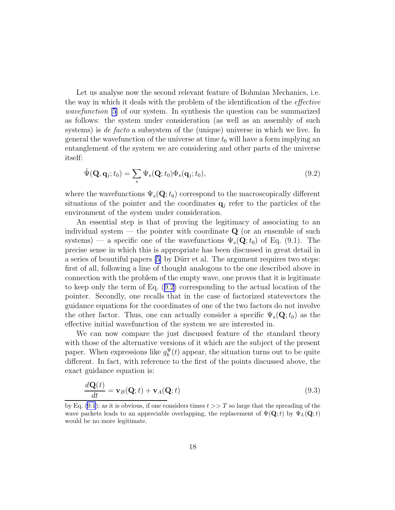Let us analyse now the second relevant feature of Bohmian Mechanics, i.e. the way in which it deals with the problem of the identification of the effective wavefunction [\[5](#page-32-0)] of our system. In synthesis the question can be summarized as follows: the system under consideration (as well as an assembly of such systems) is de facto a subsystem of the (unique) universe in which we live. In general the wavefunction of the universe at time  $t_0$  will have a form implying an entanglement of the system we are considering and other parts of the universe itself:

$$
\tilde{\Psi}(\mathbf{Q}, \mathbf{q}_j; t_0) = \sum_s \Psi_s(\mathbf{Q}; t_0) \Phi_s(\mathbf{q}_j; t_0), \qquad (9.2)
$$

where the wavefunctions  $\Psi_s(\mathbf{Q};t_0)$  correspond to the macroscopically different situations of the pointer and the coordinates  $q_i$  refer to the particles of the environment of the system under consideration.

An essential step is that of proving the legitimacy of associating to an individual system — the pointer with coordinate  $Q$  (or an ensemble of such systems) — a specific one of the wavefunctions  $\Psi_s(\mathbf{Q};t_0)$  of Eq. (9.1). The precise sense in which this is appropriate has been discussed in great detail in a series of beautiful papers [\[5\]](#page-32-0) by Dürr et al. The argument requires two steps: first of all, following a line of thought analogous to the one described above in connection with the problem of the empty wave, one proves that it is legitimate to keep only the term of Eq. (9.2) corresponding to the actual location of the pointer. Secondly, one recalls that in the case of factorized statevectors the guidance equations for the coordinates of one of the two factors do not involve the other factor. Thus, one can actually consider a specific  $\Psi_s(\mathbf{Q};t_0)$  as the effective initial wavefunction of the system we are interested in.

We can now compare the just discussed feature of the standard theory with those of the alternative versions of it which are the subject of the present paper. When expressions like  $g_k^{\Psi}(t)$  appear, the situation turns out to be quite different. In fact, with reference to the first of the points discussed above, the exact guidance equation is:

$$
\frac{d\mathbf{Q}(t)}{dt} = \mathbf{v}_B(\mathbf{Q}; t) + \mathbf{v}_A(\mathbf{Q}; t)
$$
\n(9.3)

by Eq.  $(9.1)$ ; as it is obvious, if one considers times  $t >> T$  so large that the spreading of the wave packets leads to an appreciable overlapping, the replacement of  $\Psi(\mathbf{Q};t)$  by  $\Psi_L(\mathbf{Q};t)$ would be no more legitimate.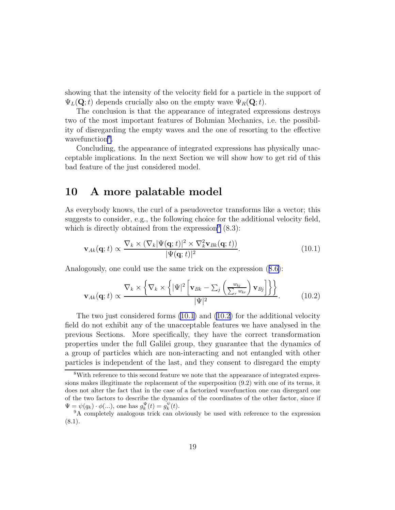showing that the intensity of the velocity field for a particle in the support of  $\Psi_L(\mathbf{Q};t)$  depends crucially also on the empty wave  $\Psi_R(\mathbf{Q};t)$ .

The conclusion is that the appearance of integrated expressions destroys two of the most important features of Bohmian Mechanics, i.e. the possibility of disregarding the empty waves and the one of resorting to the effective wavefunction<sup>8</sup>.

Concluding, the appearance of integrated expressions has physically unacceptable implications. In the next Section we will show how to get rid of this bad feature of the just considered model.

#### 10 A more palatable model

As everybody knows, the curl of a pseudovector transforms like a vector; this suggests to consider, e.g., the following choice for the additional velocity field, which is directly obtained from the expression<sup>9</sup>  $(8.3)$ :

$$
\mathbf{v}_{Ak}(\mathbf{q};t) \propto \frac{\nabla_k \times (\nabla_k |\Psi(\mathbf{q};t)|^2 \times \nabla_k^2 \mathbf{v}_{Bk}(\mathbf{q};t))}{|\Psi(\mathbf{q};t)|^2}.
$$
\n(10.1)

Analogously, one could use the same trick on the expression([8.6\)](#page-15-0):

$$
\mathbf{v}_{Ak}(\mathbf{q};t) \propto \frac{\nabla_k \times \left\{ \nabla_k \times \left\{ |\Psi|^2 \left[ \mathbf{v}_{Bk} - \sum_j \left( \frac{w_{kj}}{\sum_r w_{kr}} \right) \mathbf{v}_{Bj} \right] \right\} \right\}}{|\Psi|^2}.
$$
 (10.2)

The two just considered forms (10.1) and (10.2) for the additional velocity field do not exhibit any of the unacceptable features we have analysed in the previous Sections. More specifically, they have the correct transformation properties under the full Galilei group, they guarantee that the dynamics of a group of particles which are non-interacting and not entangled with other particles is independent of the last, and they consent to disregard the empty

<sup>&</sup>lt;sup>8</sup>With reference to this second feature we note that the appearance of integrated expressions makes illegitimate the replacement of the superposition (9.2) with one of its terms, it does not alter the fact that in the case of a factorized wavefunction one can disregard one of the two factors to describe the dynamics of the coordinates of the other factor, since if  $\Psi = \psi(q_k) \cdot \phi(...)$ , one has  $g_k^{\Psi}(t) = g_k^{\psi}(t)$ .

<sup>9</sup>A completely analogous trick can obviously be used with reference to the expression  $(8.1).$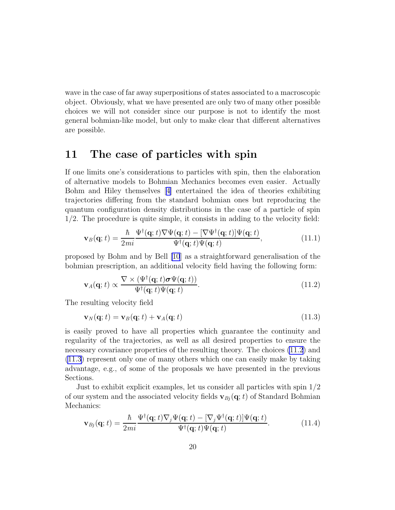wave in the case of far away superpositions of states associated to a macroscopic object. Obviously, what we have presented are only two of many other possible choices we will not consider since our purpose is not to identify the most general bohmian-like model, but only to make clear that different alternatives are possible.

#### 11 The case of particles with spin

If one limits one's considerations to particles with spin, then the elaboration of alternative models to Bohmian Mechanics becomes even easier. Actually Bohm and Hiley themselves[[4\]](#page-32-0) entertained the idea of theories exhibiting trajectories differing from the standard bohmian ones but reproducing the quantum configuration density distributions in the case of a particle of spin 1/2. The procedure is quite simple, it consists in adding to the velocity field:

$$
\mathbf{v}_B(\mathbf{q};t) = \frac{\hbar}{2mi} \frac{\Psi^{\dagger}(\mathbf{q};t) \nabla \Psi(\mathbf{q};t) - [\nabla \Psi^{\dagger}(\mathbf{q};t)] \Psi(\mathbf{q};t)}{\Psi^{\dagger}(\mathbf{q};t) \Psi(\mathbf{q};t)},
$$
(11.1)

proposed by Bohm and by Bell [\[10](#page-33-0)] as a straightforward generalisation of the bohmian prescription, an additional velocity field having the following form:

$$
\mathbf{v}_A(\mathbf{q};t) \propto \frac{\nabla \times (\Psi^\dagger(\mathbf{q};t)\boldsymbol{\sigma}\Psi(\mathbf{q};t))}{\Psi^\dagger(\mathbf{q};t)\Psi(\mathbf{q};t)}.
$$
\n(11.2)

The resulting velocity field

$$
\mathbf{v}_N(\mathbf{q};t) = \mathbf{v}_B(\mathbf{q};t) + \mathbf{v}_A(\mathbf{q};t) \tag{11.3}
$$

is easily proved to have all properties which guarantee the continuity and regularity of the trajectories, as well as all desired properties to ensure the necessary covariance properties of the resulting theory. The choices  $(11.2)$  and (11.3) represent only one of many others which one can easily make by taking advantage, e.g., of some of the proposals we have presented in the previous Sections.

Just to exhibit explicit examples, let us consider all particles with spin 1/2 of our system and the associated velocity fields  $\mathbf{v}_{B_i}(\mathbf{q}; t)$  of Standard Bohmian Mechanics:

$$
\mathbf{v}_{Bj}(\mathbf{q};t) = \frac{\hbar}{2mi} \frac{\Psi^{\dagger}(\mathbf{q};t)\nabla_j \Psi(\mathbf{q};t) - [\nabla_j \Psi^{\dagger}(\mathbf{q};t)]\Psi(\mathbf{q};t)}{\Psi^{\dagger}(\mathbf{q};t)\Psi(\mathbf{q};t)}.
$$
(11.4)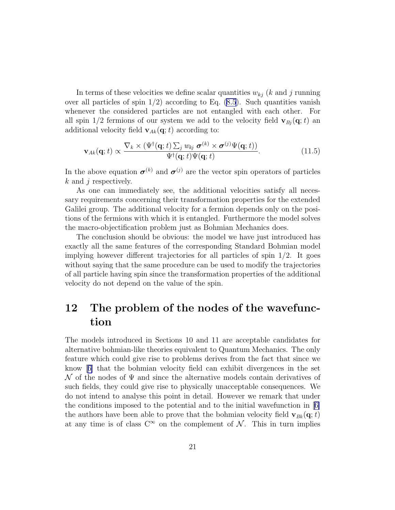In terms of these velocities we define scalar quantities  $w_{ki}$  (k and j running over all particles of spin  $1/2$ ) according to Eq.  $(8.5)$ . Such quantities vanish whenever the considered particles are not entangled with each other. For all spin 1/2 fermions of our system we add to the velocity field  $\mathbf{v}_{B_i}(\mathbf{q}; t)$  and additional velocity field  $\mathbf{v}_{Ak}(\mathbf{q}; t)$  according to:

$$
\mathbf{v}_{Ak}(\mathbf{q};t) \propto \frac{\nabla_k \times (\Psi^\dagger(\mathbf{q};t) \sum_j w_{kj} \sigma^{(k)} \times \sigma^{(j)} \Psi(\mathbf{q};t))}{\Psi^\dagger(\mathbf{q};t) \Psi(\mathbf{q};t)}.
$$
(11.5)

In the above equation  $\boldsymbol{\sigma}^{(k)}$  and  $\boldsymbol{\sigma}^{(j)}$  are the vector spin operators of particles  $k$  and  $j$  respectively.

As one can immediately see, the additional velocities satisfy all necessary requirements concerning their transformation properties for the extended Galilei group. The additional velocity for a fermion depends only on the positions of the fermions with which it is entangled. Furthermore the model solves the macro-objectification problem just as Bohmian Mechanics does.

The conclusion should be obvious: the model we have just introduced has exactly all the same features of the corresponding Standard Bohmian model implying however different trajectories for all particles of spin  $1/2$ . It goes without saying that the same procedure can be used to modify the trajectories of all particle having spin since the transformation properties of the additional velocity do not depend on the value of the spin.

### 12 The problem of the nodes of the wavefunction

The models introduced in Sections 10 and 11 are acceptable candidates for alternative bohmian-like theories equivalent to Quantum Mechanics. The only feature which could give rise to problems derives from the fact that since we know[[6\]](#page-32-0) that the bohmian velocity field can exhibit divergences in the set  $\mathcal N$  of the nodes of  $\Psi$  and since the alternative models contain derivatives of such fields, they could give rise to physically unacceptable consequences. We do not intend to analyse this point in detail. However we remark that under the conditions imposed to the potential and to the initial wavefunction in[[6\]](#page-32-0) the authors have been able to prove that the bohmian velocity field  $\mathbf{v}_{Bk}(\mathbf{q}; t)$ at any time is of class  $C^{\infty}$  on the complement of N. This in turn implies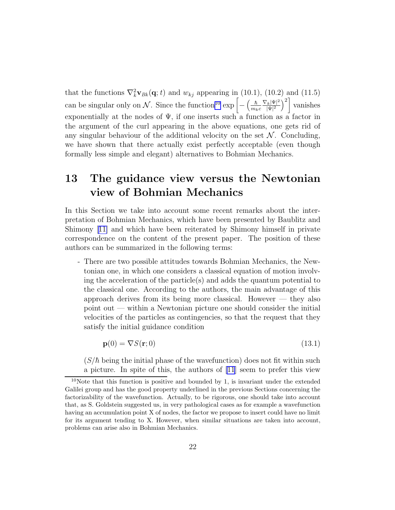<span id="page-21-0"></span>that the functions  $\nabla_k^2 \mathbf{v}_{Bk}(\mathbf{q}; t)$  and  $w_{kj}$  appearing in (10.1), (10.2) and (11.5) can be singular only on N. Since the function<sup>10</sup>  $\exp\left[-\left(\frac{\hbar}{m}\right)^{1-\alpha}\right]$  $m_kc$  $\nabla_k |\Psi|^2$  $\frac{V_k |\Psi|^2}{|\Psi|^2}$  anishes exponentially at the nodes of  $\Psi$ , if one inserts such a function as a factor in the argument of the curl appearing in the above equations, one gets rid of any singular behaviour of the additional velocity on the set  $\mathcal N$ . Concluding, we have shown that there actually exist perfectly acceptable (even though formally less simple and elegant) alternatives to Bohmian Mechanics.

### 13 The guidance view versus the Newtonian view of Bohmian Mechanics

In this Section we take into account some recent remarks about the interpretation of Bohmian Mechanics, which have been presented by Baublitz and Shimony[[11\]](#page-33-0) and which have been reiterated by Shimony himself in private correspondence on the content of the present paper. The position of these authors can be summarized in the following terms:

- There are two possible attitudes towards Bohmian Mechanics, the Newtonian one, in which one considers a classical equation of motion involving the acceleration of the particle(s) and adds the quantum potential to the classical one. According to the authors, the main advantage of this approach derives from its being more classical. However — they also point out — within a Newtonian picture one should consider the initial velocities of the particles as contingencies, so that the request that they satisfy the initial guidance condition

$$
\mathbf{p}(0) = \nabla S(\mathbf{r}; 0) \tag{13.1}
$$

 $(S/\hbar)$  being the initial phase of the wavefunction) does not fit within such a picture. In spite of this, the authors of [\[11](#page-33-0)] seem to prefer this view

 $10$ Note that this function is positive and bounded by 1, is invariant under the extended Galilei group and has the good property underlined in the previous Sections concerning the factorizability of the wavefunction. Actually, to be rigorous, one should take into account that, as S. Goldstein suggested us, in very pathological cases as for example a wavefunction having an accumulation point X of nodes, the factor we propose to insert could have no limit for its argument tending to X. However, when similar situations are taken into account, problems can arise also in Bohmian Mechanics.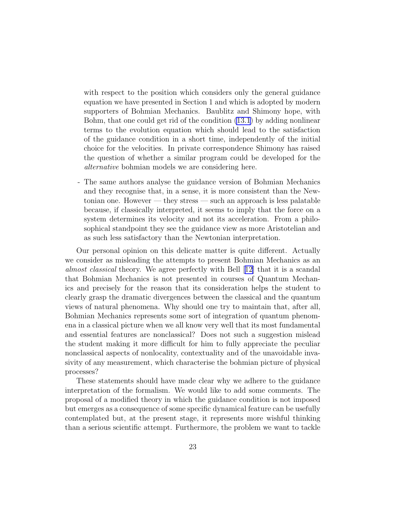with respect to the position which considers only the general guidance equation we have presented in Section 1 and which is adopted by modern supporters of Bohmian Mechanics. Baublitz and Shimony hope, with Bohm, that one could get rid of the condition [\(13.1](#page-21-0)) by adding nonlinear terms to the evolution equation which should lead to the satisfaction of the guidance condition in a short time, independently of the initial choice for the velocities. In private correspondence Shimony has raised the question of whether a similar program could be developed for the alternative bohmian models we are considering here.

- The same authors analyse the guidance version of Bohmian Mechanics and they recognise that, in a sense, it is more consistent than the Newtonian one. However — they stress — such an approach is less palatable because, if classically interpreted, it seems to imply that the force on a system determines its velocity and not its acceleration. From a philosophical standpoint they see the guidance view as more Aristotelian and as such less satisfactory than the Newtonian interpretation.

Our personal opinion on this delicate matter is quite different. Actually we consider as misleading the attempts to present Bohmian Mechanics as an almost classical theory. We agree perfectly with Bell[[12\]](#page-33-0) that it is a scandal that Bohmian Mechanics is not presented in courses of Quantum Mechanics and precisely for the reason that its consideration helps the student to clearly grasp the dramatic divergences between the classical and the quantum views of natural phenomena. Why should one try to maintain that, after all, Bohmian Mechanics represents some sort of integration of quantum phenomena in a classical picture when we all know very well that its most fundamental and essential features are nonclassical? Does not such a suggestion mislead the student making it more difficult for him to fully appreciate the peculiar nonclassical aspects of nonlocality, contextuality and of the unavoidable invasivity of any measurement, which characterise the bohmian picture of physical processes?

These statements should have made clear why we adhere to the guidance interpretation of the formalism. We would like to add some comments. The proposal of a modified theory in which the guidance condition is not imposed but emerges as a consequence of some specific dynamical feature can be usefully contemplated but, at the present stage, it represents more wishful thinking than a serious scientific attempt. Furthermore, the problem we want to tackle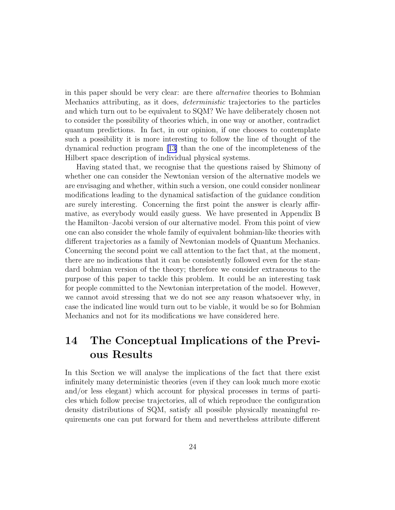in this paper should be very clear: are there alternative theories to Bohmian Mechanics attributing, as it does, deterministic trajectories to the particles and which turn out to be equivalent to SQM? We have deliberately chosen not to consider the possibility of theories which, in one way or another, contradict quantum predictions. In fact, in our opinion, if one chooses to contemplate such a possibility it is more interesting to follow the line of thought of the dynamical reduction program [\[13\]](#page-33-0) than the one of the incompleteness of the Hilbert space description of individual physical systems.

Having stated that, we recognise that the questions raised by Shimony of whether one can consider the Newtonian version of the alternative models we are envisaging and whether, within such a version, one could consider nonlinear modifications leading to the dynamical satisfaction of the guidance condition are surely interesting. Concerning the first point the answer is clearly affirmative, as everybody would easily guess. We have presented in Appendix B the Hamilton–Jacobi version of our alternative model. From this point of view one can also consider the whole family of equivalent bohmian-like theories with different trajectories as a family of Newtonian models of Quantum Mechanics. Concerning the second point we call attention to the fact that, at the moment, there are no indications that it can be consistently followed even for the standard bohmian version of the theory; therefore we consider extraneous to the purpose of this paper to tackle this problem. It could be an interesting task for people committed to the Newtonian interpretation of the model. However, we cannot avoid stressing that we do not see any reason whatsoever why, in case the indicated line would turn out to be viable, it would be so for Bohmian Mechanics and not for its modifications we have considered here.

## 14 The Conceptual Implications of the Previous Results

In this Section we will analyse the implications of the fact that there exist infinitely many deterministic theories (even if they can look much more exotic and/or less elegant) which account for physical processes in terms of particles which follow precise trajectories, all of which reproduce the configuration density distributions of SQM, satisfy all possible physically meaningful requirements one can put forward for them and nevertheless attribute different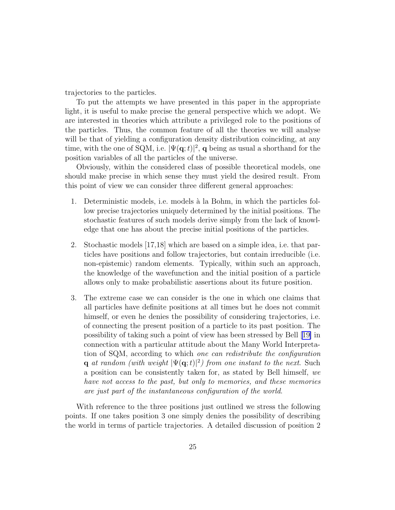trajectories to the particles.

To put the attempts we have presented in this paper in the appropriate light, it is useful to make precise the general perspective which we adopt. We are interested in theories which attribute a privileged role to the positions of the particles. Thus, the common feature of all the theories we will analyse will be that of yielding a configuration density distribution coinciding, at any time, with the one of SQM, i.e.  $|\Psi(\mathbf{q};t)|^2$ , q being as usual a shorthand for the position variables of all the particles of the universe.

Obviously, within the considered class of possible theoretical models, one should make precise in which sense they must yield the desired result. From this point of view we can consider three different general approaches:

- 1. Deterministic models, i.e. models à la Bohm, in which the particles follow precise trajectories uniquely determined by the initial positions. The stochastic features of such models derive simply from the lack of knowledge that one has about the precise initial positions of the particles.
- 2. Stochastic models [17,18] which are based on a simple idea, i.e. that particles have positions and follow trajectories, but contain irreducible (i.e. non-epistemic) random elements. Typically, within such an approach, the knowledge of the wavefunction and the initial position of a particle allows only to make probabilistic assertions about its future position.
- 3. The extreme case we can consider is the one in which one claims that all particles have definite positions at all times but he does not commit himself, or even he denies the possibility of considering trajectories, i.e. of connecting the present position of a particle to its past position. The possibility of taking such a point of view has been stressed by Bell[[19\]](#page-33-0) in connection with a particular attitude about the Many World Interpretation of SQM, according to which one can redistribute the configuration **q** at random (with weight  $|\Psi(\mathbf{q};t)|^2$ ) from one instant to the next. Such a position can be consistently taken for, as stated by Bell himself, we have not access to the past, but only to memories, and these memories are just part of the instantaneous configuration of the world.

With reference to the three positions just outlined we stress the following points. If one takes position 3 one simply denies the possibility of describing the world in terms of particle trajectories. A detailed discussion of position 2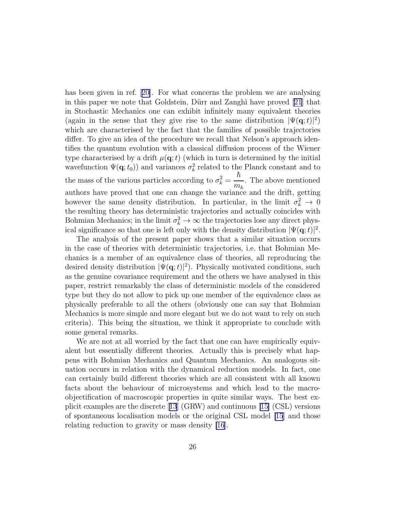has been given in ref.[[20\]](#page-33-0). For what concerns the problem we are analysing in this paper we note that Goldstein, Dürr and Zanghi have proved [\[21](#page-33-0)] that in Stochastic Mechanics one can exhibit infinitely many equivalent theories (again in the sense that they give rise to the same distribution  $|\Psi(\mathbf{q};t)|^2$ ) which are characterised by the fact that the families of possible trajectories differ. To give an idea of the procedure we recall that Nelson's approach identifies the quantum evolution with a classical diffusion process of the Wiener type characterised by a drift  $\mu(\mathbf{q};t)$  (which in turn is determined by the initial wavefunction  $\Psi(\mathbf{q};t_0)$  and variances  $\sigma_k^2$  related to the Planck constant and to k the mass of the various particles according to  $\sigma_k^2 =$  $\hbar$  $m_k$ . The above mentioned authors have proved that one can change the variance and the drift, getting however the same density distribution. In particular, in the limit  $\sigma_k^2 \to 0$ the resulting theory has deterministic trajectories and actually coincides with Bohmian Mechanics; in the limit  $\sigma_k^2 \to \infty$  the trajectories lose any direct physical significance so that one is left only with the density distribution  $|\Psi(\mathbf{q};t)|^2$ .

The analysis of the present paper shows that a similar situation occurs in the case of theories with deterministic trajectories, i.e. that Bohmian Mechanics is a member of an equivalence class of theories, all reproducing the desired density distribution  $|\Psi(\mathbf{q};t)|^2$ ). Physically motivated conditions, such as the genuine covariance requirement and the others we have analysed in this paper, restrict remarkably the class of deterministic models of the considered type but they do not allow to pick up one member of the equivalence class as physically preferable to all the others (obviously one can say that Bohmian Mechanics is more simple and more elegant but we do not want to rely on such criteria). This being the situation, we think it appropriate to conclude with some general remarks.

We are not at all worried by the fact that one can have empirically equivalent but essentially different theories. Actually this is precisely what happens with Bohmian Mechanics and Quantum Mechanics. An analogous situation occurs in relation with the dynamical reduction models. In fact, one can certainly build different theories which are all consistent with all known facts about the behaviour of microsystems and which lead to the macroobjectification of macroscopic properties in quite similar ways. The best explicit examples are the discrete[[13](#page-33-0)] (GRW) and continuous [\[15\]](#page-33-0) (CSL) versions of spontaneous localisation models or the original CSL model [\[15](#page-33-0)] and those relating reduction to gravity or mass density [\[16](#page-33-0)].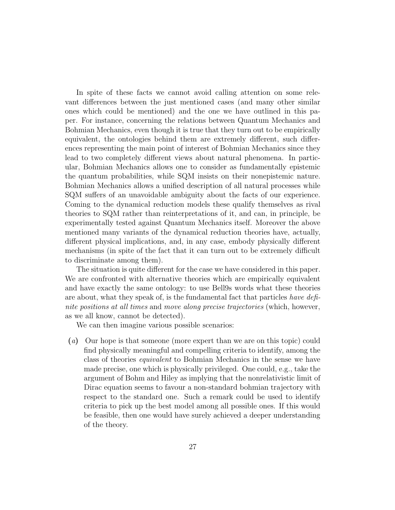In spite of these facts we cannot avoid calling attention on some relevant differences between the just mentioned cases (and many other similar ones which could be mentioned) and the one we have outlined in this paper. For instance, concerning the relations between Quantum Mechanics and Bohmian Mechanics, even though it is true that they turn out to be empirically equivalent, the ontologies behind them are extremely different, such differences representing the main point of interest of Bohmian Mechanics since they lead to two completely different views about natural phenomena. In particular, Bohmian Mechanics allows one to consider as fundamentally epistemic the quantum probabilities, while SQM insists on their nonepistemic nature. Bohmian Mechanics allows a unified description of all natural processes while SQM suffers of an unavoidable ambiguity about the facts of our experience. Coming to the dynamical reduction models these qualify themselves as rival theories to SQM rather than reinterpretations of it, and can, in principle, be experimentally tested against Quantum Mechanics itself. Moreover the above mentioned many variants of the dynamical reduction theories have, actually, different physical implications, and, in any case, embody physically different mechanisms (in spite of the fact that it can turn out to be extremely difficult to discriminate among them).

The situation is quite different for the case we have considered in this paper. We are confronted with alternative theories which are empirically equivalent and have exactly the same ontology: to use Bell9s words what these theories are about, what they speak of, is the fundamental fact that particles have definite positions at all times and move along precise trajectories (which, however, as we all know, cannot be detected).

We can then imagine various possible scenarios:

(a) Our hope is that someone (more expert than we are on this topic) could find physically meaningful and compelling criteria to identify, among the class of theories equivalent to Bohmian Mechanics in the sense we have made precise, one which is physically privileged. One could, e.g., take the argument of Bohm and Hiley as implying that the nonrelativistic limit of Dirac equation seems to favour a non-standard bohmian trajectory with respect to the standard one. Such a remark could be used to identify criteria to pick up the best model among all possible ones. If this would be feasible, then one would have surely achieved a deeper understanding of the theory.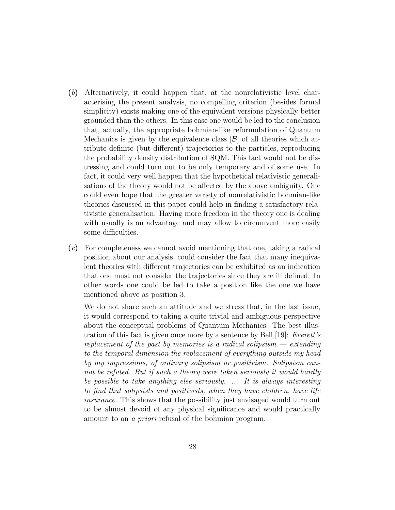- (b) Alternatively, it could happen that, at the nonrelativistic level characterising the present analysis, no compelling criterion (besides formal simplicity) exists making one of the equivalent versions physically better grounded than the others. In this case one would be led to the conclusion that, actually, the appropriate bohmian-like reformulation of Quantum Mechanics is given by the equivalence class  $|\mathcal{B}|$  of all theories which attribute definite (but different) trajectories to the particles, reproducing the probability density distribution of SQM. This fact would not be distressing and could turn out to be only temporary and of some use. In fact, it could very well happen that the hypothetical relativistic generalisations of the theory would not be affected by the above ambiguity. One could even hope that the greater variety of nonrelativistic bohmian-like theories discussed in this paper could help in finding a satisfactory relativistic generalisation. Having more freedom in the theory one is dealing with usually is an advantage and may allow to circumvent more easily some difficulties.
- (c) For completeness we cannot avoid mentioning that one, taking a radical position about our analysis, could consider the fact that many inequivalent theories with different trajectories can be exhibited as an indication that one must not consider the trajectories since they are ill defined. In other words one could be led to take a position like the one we have mentioned above as position 3.

We do not share such an attitude and we stress that, in the last issue, it would correspond to taking a quite trivial and ambiguous perspective about the conceptual problems of Quantum Mechanics. The best illustration of this fact is given once more by a sentence by Bell [19]: Everett's replacement of the past by memories is a radical solipsism  $-$  extending to the temporal dimension the replacement of everything outside my head by my impressions, of ordinary solipsism or positivism. Solipsism cannot be refuted. But if such a theory were taken seriously it would hardly be possible to take anything else seriously. ... It is always interesting to find that solipsists and positivists, when they have children, have life insurance. This shows that the possibility just envisaged would turn out to be almost devoid of any physical significance and would practically amount to an *a priori* refusal of the bohmian program.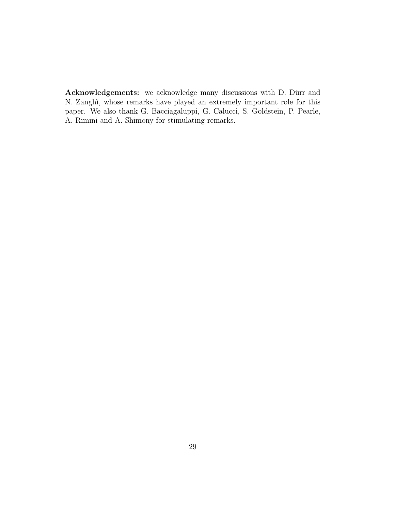Acknowledgements: we acknowledge many discussions with D. Dürr and N. Zanghì, whose remarks have played an extremely important role for this paper. We also thank G. Bacciagaluppi, G. Calucci, S. Goldstein, P. Pearle, A. Rimini and A. Shimony for stimulating remarks.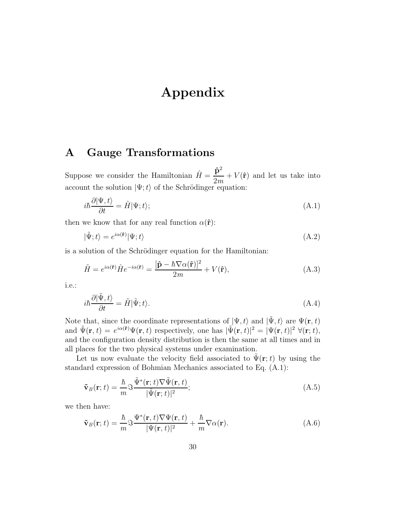# Appendix

#### A Gauge Transformations

Suppose we consider the Hamiltonian  $\hat{H} = \frac{\hat{\mathbf{p}}^2}{2}$ 2m  $+ V(\hat{\mathbf{r}})$  and let us take into account the solution  $|\Psi; t\rangle$  of the Schrödinger equation:

$$
i\hbar \frac{\partial |\Psi, t\rangle}{\partial t} = \hat{H}|\Psi; t\rangle; \tag{A.1}
$$

then we know that for any real function  $\alpha(\hat{\mathbf{r}})$ :

$$
|\tilde{\Psi};t\rangle = e^{i\alpha(\hat{\mathbf{r}})}|\Psi;t\rangle
$$
\n(A.2)

is a solution of the Schrödinger equation for the Hamiltonian:

$$
\tilde{H} = e^{i\alpha(\hat{\mathbf{r}})}\hat{H}e^{-i\alpha(\hat{\mathbf{r}})} = \frac{[\hat{\mathbf{p}} - \hbar \nabla \alpha(\hat{\mathbf{r}})]^2}{2m} + V(\hat{\mathbf{r}}),\tag{A.3}
$$

i.e.:

$$
i\hbar \frac{\partial |\tilde{\Psi},t\rangle}{\partial t} = \tilde{H}|\tilde{\Psi};t\rangle.
$$
\n(A.4)

Note that, since the coordinate representations of  $|\Psi, t\rangle$  and  $|\tilde{\Psi}, t\rangle$  are  $\Psi(\mathbf{r}, t)$ and  $\tilde{\Psi}(\mathbf{r},t) = e^{i\alpha(\hat{\mathbf{r}})}\Psi(\mathbf{r},t)$  respectively, one has  $|\tilde{\Psi}(\mathbf{r},t)|^2 = |\Psi(\mathbf{r},t)|^2 \; \forall (\mathbf{r};t)$ , and the configuration density distribution is then the same at all times and in all places for the two physical systems under examination.

Let us now evaluate the velocity field associated to  $\tilde{\Psi}(\mathbf{r};t)$  by using the standard expression of Bohmian Mechanics associated to Eq. (A.1):

$$
\tilde{\mathbf{v}}_B(\mathbf{r};t) = \frac{\hbar}{m} \Im \frac{\tilde{\Psi}^*(\mathbf{r};t) \nabla \tilde{\Psi}(\mathbf{r},t)}{|\tilde{\Psi}(\mathbf{r};t)|^2};
$$
\n(A.5)

we then have:

$$
\tilde{\mathbf{v}}_B(\mathbf{r};t) = \frac{\hbar}{m} \Im \frac{\Psi^*(\mathbf{r},t) \nabla \Psi(\mathbf{r},t)}{|\Psi(\mathbf{r},t)|^2} + \frac{\hbar}{m} \nabla \alpha(\mathbf{r}).
$$
\n(A.6)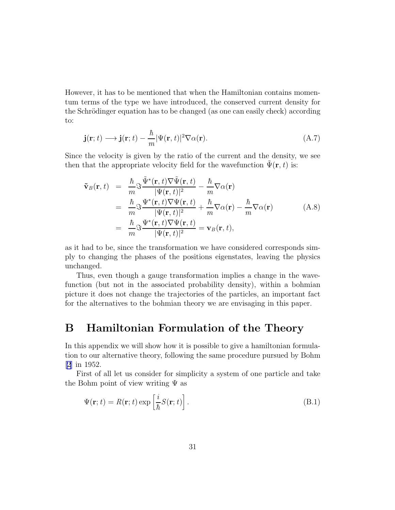<span id="page-30-0"></span>However, it has to be mentioned that when the Hamiltonian contains momentum terms of the type we have introduced, the conserved current density for the Schrödinger equation has to be changed (as one can easily check) according to:

$$
\mathbf{j}(\mathbf{r};t) \longrightarrow \mathbf{j}(\mathbf{r};t) - \frac{\hbar}{m} |\Psi(\mathbf{r},t)|^2 \nabla \alpha(\mathbf{r}). \tag{A.7}
$$

Since the velocity is given by the ratio of the current and the density, we see then that the appropriate velocity field for the wavefunction  $\Psi(\mathbf{r}, t)$  is:

$$
\tilde{\mathbf{v}}_B(\mathbf{r},t) = \frac{\hbar}{m} \Im \frac{\tilde{\Psi}^*(\mathbf{r},t) \nabla \tilde{\Psi}(\mathbf{r},t)}{|\Psi(\mathbf{r},t)|^2} - \frac{\hbar}{m} \nabla \alpha(\mathbf{r}) \n= \frac{\hbar}{m} \Im \frac{\Psi^*(\mathbf{r},t) \nabla \Psi(\mathbf{r},t)}{|\Psi(\mathbf{r},t)|^2} + \frac{\hbar}{m} \nabla \alpha(\mathbf{r}) - \frac{\hbar}{m} \nabla \alpha(\mathbf{r}) \n= \frac{\hbar}{m} \Im \frac{\Psi^*(\mathbf{r},t) \nabla \Psi(\mathbf{r},t)}{|\Psi(\mathbf{r},t)|^2} = \mathbf{v}_B(\mathbf{r},t),
$$
\n(A.8)

as it had to be, since the transformation we have considered corresponds simply to changing the phases of the positions eigenstates, leaving the physics unchanged.

Thus, even though a gauge transformation implies a change in the wavefunction (but not in the associated probability density), within a bohmian picture it does not change the trajectories of the particles, an important fact for the alternatives to the bohmian theory we are envisaging in this paper.

#### B Hamiltonian Formulation of the Theory

In this appendix we will show how it is possible to give a hamiltonian formulation to our alternative theory, following the same procedure pursued by Bohm [\[2\]](#page-32-0) in 1952.

First of all let us consider for simplicity a system of one particle and take the Bohm point of view writing  $\Psi$  as

$$
\Psi(\mathbf{r};t) = R(\mathbf{r};t) \exp\left[\frac{i}{\hbar}S(\mathbf{r};t)\right].
$$
\n(B.1)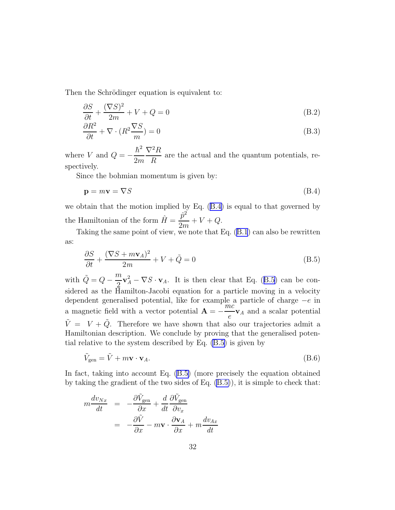Then the Schrödinger equation is equivalent to:

$$
\frac{\partial S}{\partial t} + \frac{(\nabla S)^2}{2m} + V + Q = 0
$$
\n(B.2)

$$
\frac{\partial R^2}{\partial t} + \nabla \cdot (R^2 \frac{\nabla S}{m}) = 0
$$
\n(B.3)

where V and  $Q = \hbar^2$ 2m  $\nabla^2 R$ R are the actual and the quantum potentials, respectively.

Since the bohmian momentum is given by:

$$
\mathbf{p} = m\mathbf{v} = \nabla S \tag{B.4}
$$

we obtain that the motion implied by Eq. (B.4) is equal to that governed by the Hamiltonian of the form  $\hat{H} = \frac{\hat{p}^2}{2}$ 2m  $+ V + Q$ .

Takingthe same point of view, we note that Eq.  $(B.1)$  $(B.1)$  $(B.1)$  can also be rewritten as:

$$
\frac{\partial S}{\partial t} + \frac{(\nabla S + m\mathbf{v}_A)^2}{2m} + V + \tilde{Q} = 0
$$
 (B.5)

with  $\tilde{Q} = Q - \frac{m}{2}$ 2  $\mathbf{v}_A^2 - \nabla S \cdot \mathbf{v}_A$ . It is then clear that Eq. (B.5) can be considered as the Hamilton-Jacobi equation for a particle moving in a velocity dependent generalised potential, like for example a particle of charge −e in a magnetic field with a vector potential  $\mathbf{A} = -\frac{mc}{m}$  $\frac{1}{e}$ **v**<sub>A</sub> and a scalar potential  $\tilde{V} = V + \tilde{Q}$ . Therefore we have shown that also our trajectories admit a Hamiltonian description. We conclude by proving that the generalised potential relative to the system described by Eq. (B.5) is given by

$$
\tilde{V}_{\text{gen}} = \tilde{V} + m\mathbf{v} \cdot \mathbf{v}_A. \tag{B.6}
$$

In fact, taking into account Eq. (B.5) (more precisely the equation obtained by taking the gradient of the two sides of Eq. (B.5)), it is simple to check that:

$$
m\frac{dv_{Nx}}{dt} = -\frac{\partial \tilde{V}_{gen}}{\partial x} + \frac{d}{dt}\frac{\partial \tilde{V}_{gen}}{\partial v_x}
$$
  
= 
$$
-\frac{\partial \tilde{V}}{\partial x} - m\mathbf{v} \cdot \frac{\partial \mathbf{v}_A}{\partial x} + m\frac{dv_{Ax}}{dt}
$$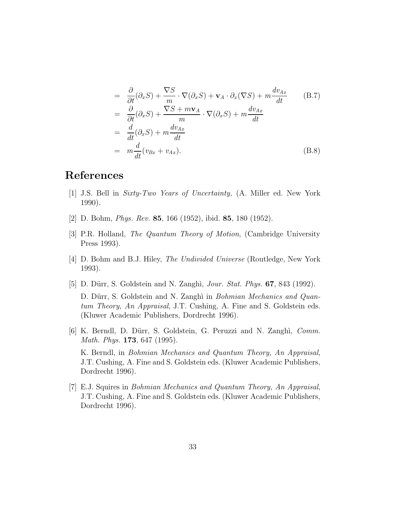<span id="page-32-0"></span>
$$
= \frac{\partial}{\partial t}(\partial_x S) + \frac{\nabla S}{m} \cdot \nabla(\partial_x S) + \mathbf{v}_A \cdot \partial_x (\nabla S) + m \frac{dv_{Ax}}{dt}
$$
 (B.7)  
\n
$$
= \frac{\partial}{\partial t}(\partial_x S) + \frac{\nabla S + m\mathbf{v}_A}{m} \cdot \nabla(\partial_x S) + m \frac{dv_{Ax}}{dt}
$$
  
\n
$$
= \frac{d}{dt}(\partial_x S) + m \frac{dv_{Ax}}{dt}
$$
  
\n
$$
= m \frac{d}{dt}(v_{Bx} + v_{Ax}).
$$
 (B.8)

#### References

- [1] J.S. Bell in Sixty-Two Years of Uncertainty, (A. Miller ed. New York 1990).
- [2] D. Bohm, Phys. Rev. 85, 166 (1952), ibid. 85, 180 (1952).
- [3] P.R. Holland, The Quantum Theory of Motion, (Cambridge University Press 1993).
- [4] D. Bohm and B.J. Hiley, The Undivided Universe (Routledge, New York 1993).
- [5] D. Dürr, S. Goldstein and N. Zanghì, *Jour. Stat. Phys.* **67**, 843 (1992).

D. Dürr, S. Goldstein and N. Zanghì in Bohmian Mechanics and Quantum Theory, An Appraisal, J.T. Cushing, A. Fine and S. Goldstein eds. (Kluwer Academic Publishers, Dordrecht 1996).

[6] K. Berndl, D. Dürr, S. Goldstein, G. Peruzzi and N. Zanghì, Comm. Math. Phys. 173, 647 (1995).

K. Berndl, in Bohmian Mechanics and Quantum Theory, An Appraisal, J.T. Cushing, A. Fine and S. Goldstein eds. (Kluwer Academic Publishers, Dordrecht 1996).

[7] E.J. Squires in Bohmian Mechanics and Quantum Theory, An Appraisal, J.T. Cushing, A. Fine and S. Goldstein eds. (Kluwer Academic Publishers, Dordrecht 1996).